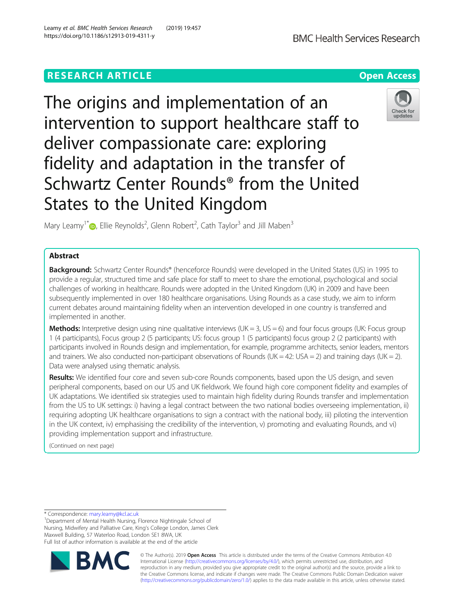# **RESEARCH ARTICLE Example 2014 12:30 The Contract of Contract ACCESS**

The origins and implementation of an intervention to support healthcare staff to deliver compassionate care: exploring fidelity and adaptation in the transfer of Schwartz Center Rounds® from the United States to the United Kingdom

Mary Leamy<sup>1[\\*](http://orcid.org/0000-0002-6396-1410)</sup> D, Ellie Reynolds<sup>2</sup>, Glenn Robert<sup>2</sup>, Cath Taylor<sup>3</sup> and Jill Maben<sup>3</sup>

# Abstract

Background: Schwartz Center Rounds® (henceforce Rounds) were developed in the United States (US) in 1995 to provide a regular, structured time and safe place for staff to meet to share the emotional, psychological and social challenges of working in healthcare. Rounds were adopted in the United Kingdom (UK) in 2009 and have been subsequently implemented in over 180 healthcare organisations. Using Rounds as a case study, we aim to inform current debates around maintaining fidelity when an intervention developed in one country is transferred and implemented in another.

**Methods:** Interpretive design using nine qualitative interviews ( $UK = 3$ ,  $US = 6$ ) and four focus groups (UK: Focus group 1 (4 participants), Focus group 2 (5 participants; US: focus group 1 (5 participants) focus group 2 (2 participants) with participants involved in Rounds design and implementation, for example, programme architects, senior leaders, mentors and trainers. We also conducted non-participant observations of Rounds (UK = 42: USA = 2) and training days (UK = 2). Data were analysed using thematic analysis.

Results: We identified four core and seven sub-core Rounds components, based upon the US design, and seven peripheral components, based on our US and UK fieldwork. We found high core component fidelity and examples of UK adaptations. We identified six strategies used to maintain high fidelity during Rounds transfer and implementation from the US to UK settings: i) having a legal contract between the two national bodies overseeing implementation, ii) requiring adopting UK healthcare organisations to sign a contract with the national body, iii) piloting the intervention in the UK context, iv) emphasising the credibility of the intervention, v) promoting and evaluating Rounds, and vi) providing implementation support and infrastructure.

(Continued on next page)

<sup>1</sup>Department of Mental Health Nursing, Florence Nightingale School of Nursing, Midwifery and Palliative Care, King's College London, James Clerk Maxwell Building, 57 Waterloo Road, London SE1 8WA, UK Full list of author information is available at the end of the article

> © The Author(s). 2019 **Open Access** This article is distributed under the terms of the Creative Commons Attribution 4.0 International License [\(http://creativecommons.org/licenses/by/4.0/](http://creativecommons.org/licenses/by/4.0/)), which permits unrestricted use, distribution, and reproduction in any medium, provided you give appropriate credit to the original author(s) and the source, provide a link to the Creative Commons license, and indicate if changes were made. The Creative Commons Public Domain Dedication waiver [\(http://creativecommons.org/publicdomain/zero/1.0/](http://creativecommons.org/publicdomain/zero/1.0/)) applies to the data made available in this article, unless otherwise stated.







<sup>\*</sup> Correspondence: [mary.leamy@kcl.ac.uk](mailto:mary.leamy@kcl.ac.uk) <sup>1</sup>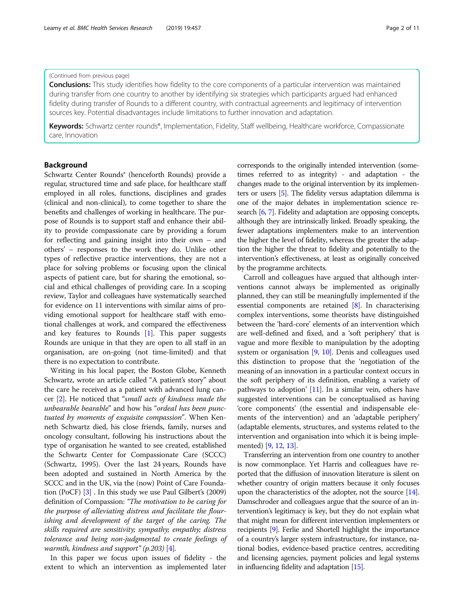#### (Continued from previous page)

**Conclusions:** This study identifies how fidelity to the core components of a particular intervention was maintained during transfer from one country to another by identifying six strategies which participants argued had enhanced fidelity during transfer of Rounds to a different country, with contractual agreements and legitimacy of intervention sources key. Potential disadvantages include limitations to further innovation and adaptation.

Keywords: Schwartz center rounds®, Implementation, Fidelity, Staff wellbeing, Healthcare workforce, Compassionate care, Innovation

### **Background**

Schwartz Center Rounds® (henceforth Rounds) provide a regular, structured time and safe place, for healthcare staff employed in all roles, functions, disciplines and grades (clinical and non-clinical), to come together to share the benefits and challenges of working in healthcare. The purpose of Rounds is to support staff and enhance their ability to provide compassionate care by providing a forum for reflecting and gaining insight into their own – and others' – responses to the work they do. Unlike other types of reflective practice interventions, they are not a place for solving problems or focusing upon the clinical aspects of patient care, but for sharing the emotional, social and ethical challenges of providing care. In a scoping review, Taylor and colleagues have systematically searched for evidence on 11 interventions with similar aims of providing emotional support for healthcare staff with emotional challenges at work, and compared the effectiveness and key features to Rounds [[1](#page-10-0)]. This paper suggests Rounds are unique in that they are open to all staff in an organisation, are on-going (not time-limited) and that there is no expectation to contribute.

Writing in his local paper, the Boston Globe, Kenneth Schwartz, wrote an article called "A patient's story" about the care he received as a patient with advanced lung cancer [[2](#page-10-0)]. He noticed that "small acts of kindness made the unbearable bearable" and how his "ordeal has been punctuated by moments of exquisite compassion". When Kenneth Schwartz died, his close friends, family, nurses and oncology consultant, following his instructions about the type of organisation he wanted to see created, established the Schwartz Center for Compassionate Care (SCCC) (Schwartz, 1995). Over the last 24 years, Rounds have been adopted and sustained in North America by the SCCC and in the UK, via the (now) Point of Care Foundation (PoCF) [[3\]](#page-10-0) . In this study we use Paul Gilbert's (2009) definition of Compassion: "The motivation to be caring for the purpose of alleviating distress and facilitate the flourishing and development of the target of the caring. The skills required are sensitivity; sympathy; empathy; distress tolerance and being non-judgmental to create feelings of warmth, kindness and support"  $(p.203)$  [\[4](#page-10-0)].

In this paper we focus upon issues of fidelity - the extent to which an intervention as implemented later corresponds to the originally intended intervention (sometimes referred to as integrity) - and adaptation - the changes made to the original intervention by its implementers or users [[5](#page-10-0)]. The fidelity versus adaptation dilemma is one of the major debates in implementation science research [\[6,](#page-10-0) [7](#page-10-0)]. Fidelity and adaptation are opposing concepts, although they are intrinsically linked. Broadly speaking, the fewer adaptations implementers make to an intervention the higher the level of fidelity, whereas the greater the adaption the higher the threat to fidelity and potentially to the intervention's effectiveness, at least as originally conceived by the programme architects.

Carroll and colleagues have argued that although interventions cannot always be implemented as originally planned, they can still be meaningfully implemented if the essential components are retained [[8\]](#page-10-0). In characterising complex interventions, some theorists have distinguished between the 'hard-core' elements of an intervention which are well-defined and fixed, and a 'soft periphery' that is vague and more flexible to manipulation by the adopting system or organisation [\[9,](#page-10-0) [10\]](#page-10-0). Denis and colleagues used this distinction to propose that the 'negotiation of the meaning of an innovation in a particular context occurs in the soft periphery of its definition, enabling a variety of pathways to adoption'  $[11]$  $[11]$  $[11]$ . In a similar vein, others have suggested interventions can be conceptualised as having 'core components' (the essential and indispensable elements of the intervention) and an 'adaptable periphery' (adaptable elements, structures, and systems related to the intervention and organisation into which it is being implemented) [[9,](#page-10-0) [12,](#page-10-0) [13](#page-10-0)].

Transferring an intervention from one country to another is now commonplace. Yet Harris and colleagues have reported that the diffusion of innovation literature is silent on whether country of origin matters because it only focuses upon the characteristics of the adopter, not the source [\[14](#page-10-0)]. Damschroder and colleagues argue that the source of an intervention's legitimacy is key, but they do not explain what that might mean for different intervention implementers or recipients [\[9\]](#page-10-0). Ferlie and Shortell highlight the importance of a country's larger system infrastructure, for instance, national bodies, evidence-based practice centres, accrediting and licensing agencies, payment policies and legal systems in influencing fidelity and adaptation [\[15](#page-10-0)].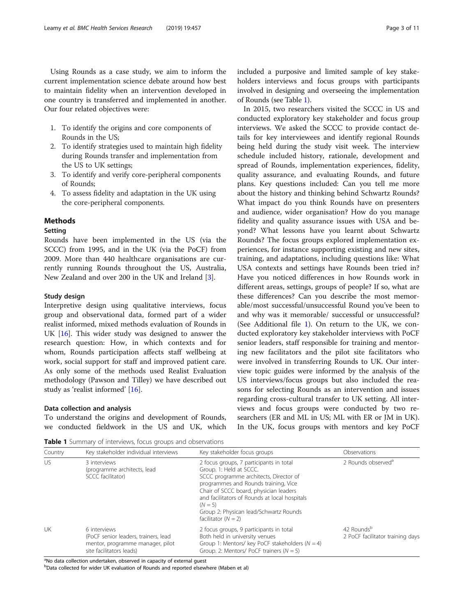Using Rounds as a case study, we aim to inform the current implementation science debate around how best to maintain fidelity when an intervention developed in one country is transferred and implemented in another. Our four related objectives were:

- 1. To identify the origins and core components of Rounds in the US;
- 2. To identify strategies used to maintain high fidelity during Rounds transfer and implementation from the US to UK settings;
- 3. To identify and verify core-peripheral components of Rounds;
- 4. To assess fidelity and adaptation in the UK using the core-peripheral components.

### Methods

#### Setting

Rounds have been implemented in the US (via the SCCC) from 1995, and in the UK (via the PoCF) from 2009. More than 440 healthcare organisations are currently running Rounds throughout the US, Australia, New Zealand and over 200 in the UK and Ireland [\[3](#page-10-0)].

### Study design

Interpretive design using qualitative interviews, focus group and observational data, formed part of a wider realist informed, mixed methods evaluation of Rounds in UK [[16\]](#page-10-0). This wider study was designed to answer the research question: How, in which contexts and for whom, Rounds participation affects staff wellbeing at work, social support for staff and improved patient care. As only some of the methods used Realist Evaluation methodology (Pawson and Tilley) we have described out study as 'realist informed' [[16](#page-10-0)].

#### Data collection and analysis

To understand the origins and development of Rounds, we conducted fieldwork in the US and UK, which

included a purposive and limited sample of key stakeholders interviews and focus groups with participants involved in designing and overseeing the implementation of Rounds (see Table 1).

In 2015, two researchers visited the SCCC in US and conducted exploratory key stakeholder and focus group interviews. We asked the SCCC to provide contact details for key interviewees and identify regional Rounds being held during the study visit week. The interview schedule included history, rationale, development and spread of Rounds, implementation experiences, fidelity, quality assurance, and evaluating Rounds, and future plans. Key questions included: Can you tell me more about the history and thinking behind Schwartz Rounds? What impact do you think Rounds have on presenters and audience, wider organisation? How do you manage fidelity and quality assurance issues with USA and beyond? What lessons have you learnt about Schwartz Rounds? The focus groups explored implementation experiences, for instance supporting existing and new sites, training, and adaptations, including questions like: What USA contexts and settings have Rounds been tried in? Have you noticed differences in how Rounds work in different areas, settings, groups of people? If so, what are these differences? Can you describe the most memorable/most successful/unsuccessful Round you've been to and why was it memorable/ successful or unsuccessful? (See Additional file [1\)](#page-10-0). On return to the UK, we conducted exploratory key stakeholder interviews with PoCF senior leaders, staff responsible for training and mentoring new facilitators and the pilot site facilitators who were involved in transferring Rounds to UK. Our interview topic guides were informed by the analysis of the US interviews/focus groups but also included the reasons for selecting Rounds as an intervention and issues regarding cross-cultural transfer to UK setting. All interviews and focus groups were conducted by two researchers (ER and ML in US; ML with ER or JM in UK). In the UK, focus groups with mentors and key PoCF

Table 1 Summary of interviews, focus groups and observations

| Country | Key stakeholder individual interviews                                                                                | Key stakeholder focus groups                                                                                                                                                                                                                                                                                                    | Observations                                               |
|---------|----------------------------------------------------------------------------------------------------------------------|---------------------------------------------------------------------------------------------------------------------------------------------------------------------------------------------------------------------------------------------------------------------------------------------------------------------------------|------------------------------------------------------------|
| US      | 3 interviews<br>(programme architects, lead<br>SCCC facilitator)                                                     | 2 focus groups, 7 participants in total<br>Group. 1: Held at SCCC.<br>SCCC programme architects, Director of<br>programmes and Rounds training, Vice<br>Chair of SCCC board, physician leaders<br>and facilitators of Rounds at local hospitals<br>$(N = 5)$<br>Group 2: Physican lead/Schwartz Rounds<br>facilitator $(N = 2)$ | 2 Rounds observed <sup>a</sup>                             |
| UK      | 6 interviews<br>(PoCF senior leaders, trainers, lead<br>mentor, programme manager, pilot<br>site facilitators leads) | 2 focus groups, 9 participants in total<br>Both held in university venues<br>Group 1: Mentors/ key PoCF stakeholders ( $N = 4$ )<br>Group. 2: Mentors/ PoCF trainers $(N = 5)$                                                                                                                                                  | 42 Rounds <sup>b</sup><br>2 PoCF facilitator training days |

<sup>a</sup>No data collection undertaken, observed in capacity of external guest

**bData collected for wider UK evaluation of Rounds and reported elsewhere (Maben et al)**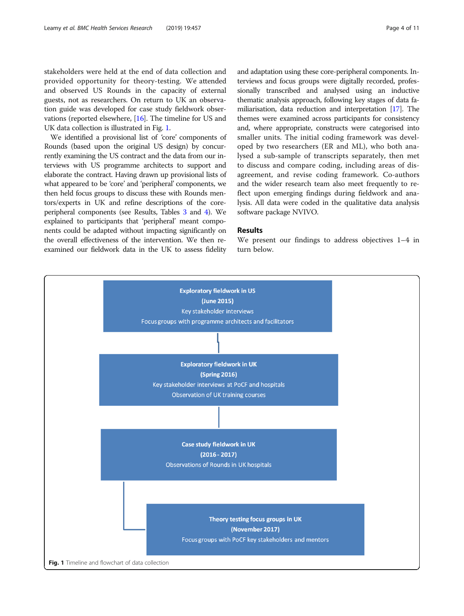stakeholders were held at the end of data collection and provided opportunity for theory-testing. We attended and observed US Rounds in the capacity of external guests, not as researchers. On return to UK an observation guide was developed for case study fieldwork observations (reported elsewhere, [[16\]](#page-10-0). The timeline for US and UK data collection is illustrated in Fig. 1.

We identified a provisional list of 'core' components of Rounds (based upon the original US design) by concurrently examining the US contract and the data from our interviews with US programme architects to support and elaborate the contract. Having drawn up provisional lists of what appeared to be 'core' and 'peripheral' components, we then held focus groups to discuss these with Rounds mentors/experts in UK and refine descriptions of the coreperipheral components (see Results, Tables [3](#page-7-0) and [4](#page-8-0)). We explained to participants that 'peripheral' meant components could be adapted without impacting significantly on the overall effectiveness of the intervention. We then reexamined our fieldwork data in the UK to assess fidelity

and adaptation using these core-peripheral components. Interviews and focus groups were digitally recorded, professionally transcribed and analysed using an inductive thematic analysis approach, following key stages of data familiarisation, data reduction and interpretation [[17](#page-10-0)]. The themes were examined across participants for consistency and, where appropriate, constructs were categorised into smaller units. The initial coding framework was developed by two researchers (ER and ML), who both analysed a sub-sample of transcripts separately, then met to discuss and compare coding, including areas of disagreement, and revise coding framework. Co-authors and the wider research team also meet frequently to reflect upon emerging findings during fieldwork and analysis. All data were coded in the qualitative data analysis software package NVIVO.

### Results

We present our findings to address objectives 1–4 in turn below.

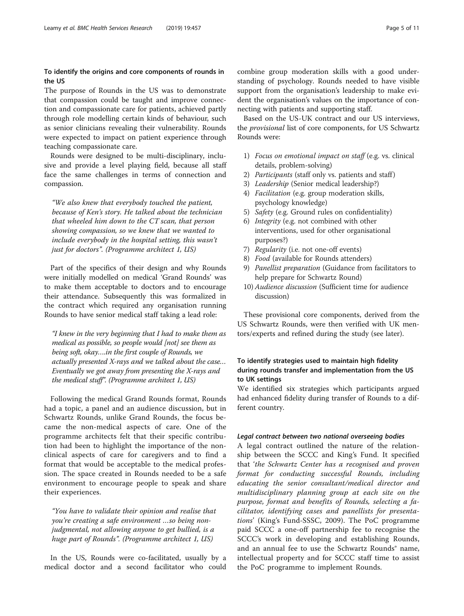### To identify the origins and core components of rounds in the US

The purpose of Rounds in the US was to demonstrate that compassion could be taught and improve connection and compassionate care for patients, achieved partly through role modelling certain kinds of behaviour, such as senior clinicians revealing their vulnerability. Rounds were expected to impact on patient experience through teaching compassionate care.

Rounds were designed to be multi-disciplinary, inclusive and provide a level playing field, because all staff face the same challenges in terms of connection and compassion.

"We also knew that everybody touched the patient, because of Ken's story. He talked about the technician that wheeled him down to the CT scan, that person showing compassion, so we knew that we wanted to include everybody in the hospital setting, this wasn't just for doctors". (Programme architect 1, US)

Part of the specifics of their design and why Rounds were initially modelled on medical 'Grand Rounds' was to make them acceptable to doctors and to encourage their attendance. Subsequently this was formalized in the contract which required any organisation running Rounds to have senior medical staff taking a lead role:

"I knew in the very beginning that I had to make them as medical as possible, so people would [not] see them as being soft, okay….in the first couple of Rounds, we actually presented X-rays and we talked about the case… Eventually we got away from presenting the X-rays and the medical stuff". (Programme architect 1, US)

Following the medical Grand Rounds format, Rounds had a topic, a panel and an audience discussion, but in Schwartz Rounds, unlike Grand Rounds, the focus became the non-medical aspects of care. One of the programme architects felt that their specific contribution had been to highlight the importance of the nonclinical aspects of care for caregivers and to find a format that would be acceptable to the medical profession. The space created in Rounds needed to be a safe environment to encourage people to speak and share their experiences.

"You have to validate their opinion and realise that you're creating a safe environment …so being nonjudgmental, not allowing anyone to get bullied, is a huge part of Rounds". (Programme architect 1, US)

In the US, Rounds were co-facilitated, usually by a medical doctor and a second facilitator who could

combine group moderation skills with a good understanding of psychology. Rounds needed to have visible support from the organisation's leadership to make evident the organisation's values on the importance of connecting with patients and supporting staff.

Based on the US-UK contract and our US interviews, the *provisional* list of core components, for US Schwartz Rounds were:

- 1) Focus on emotional impact on staff (e.g. vs. clinical details, problem-solving)
- 2) Participants (staff only vs. patients and staff)
- 3) Leadership (Senior medical leadership?)
- 4) Facilitation (e.g. group moderation skills, psychology knowledge)
- 5) Safety (e.g. Ground rules on confidentiality)
- 6) Integrity (e.g. not combined with other interventions, used for other organisational purposes?)
- 7) Regularity (i.e. not one-off events)
- 8) Food (available for Rounds attenders)
- 9) Panellist preparation (Guidance from facilitators to help prepare for Schwartz Round)
- 10) Audience discussion (Sufficient time for audience discussion)

These provisional core components, derived from the US Schwartz Rounds, were then verified with UK mentors/experts and refined during the study (see later).

## To identify strategies used to maintain high fidelity during rounds transfer and implementation from the US to UK settings

We identified six strategies which participants argued had enhanced fidelity during transfer of Rounds to a different country.

### Legal contract between two national overseeing bodies

A legal contract outlined the nature of the relationship between the SCCC and King's Fund. It specified that 'the Schwartz Center has a recognised and proven format for conducting successful Rounds, including educating the senior consultant/medical director and multidisciplinary planning group at each site on the purpose, format and benefits of Rounds, selecting a facilitator, identifying cases and panellists for presentations' (King's Fund-SSSC, 2009). The PoC programme paid SCCC a one-off partnership fee to recognise the SCCC's work in developing and establishing Rounds, and an annual fee to use the Schwartz Rounds<sup>®</sup> name, intellectual property and for SCCC staff time to assist the PoC programme to implement Rounds.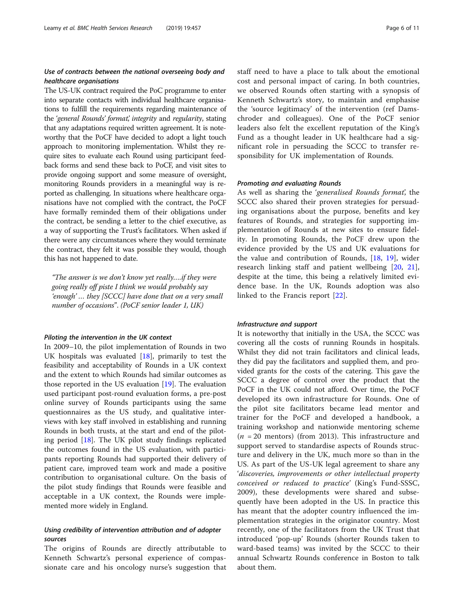### Use of contracts between the national overseeing body and healthcare organisations

The US-UK contract required the PoC programme to enter into separate contacts with individual healthcare organisations to fulfill the requirements regarding maintenance of the 'general Rounds' format', integrity and regularity, stating that any adaptations required written agreement. It is noteworthy that the PoCF have decided to adopt a light touch approach to monitoring implementation. Whilst they require sites to evaluate each Round using participant feedback forms and send these back to PoCF, and visit sites to provide ongoing support and some measure of oversight, monitoring Rounds providers in a meaningful way is reported as challenging. In situations where healthcare organisations have not complied with the contract, the PoCF have formally reminded them of their obligations under the contract, be sending a letter to the chief executive, as a way of supporting the Trust's facilitators. When asked if there were any circumstances where they would terminate the contract, they felt it was possible they would, though this has not happened to date.

"The answer is we don't know yet really….if they were going really off piste I think we would probably say 'enough' … they [SCCC] have done that on a very small number of occasions". (PoCF senior leader 1, UK)

### Piloting the intervention in the UK context

In 2009–10, the pilot implementation of Rounds in two UK hospitals was evaluated [[18\]](#page-10-0), primarily to test the feasibility and acceptability of Rounds in a UK context and the extent to which Rounds had similar outcomes as those reported in the US evaluation [[19\]](#page-10-0). The evaluation used participant post-round evaluation forms, a pre-post online survey of Rounds participants using the same questionnaires as the US study, and qualitative interviews with key staff involved in establishing and running Rounds in both trusts, at the start and end of the piloting period [\[18\]](#page-10-0). The UK pilot study findings replicated the outcomes found in the US evaluation, with participants reporting Rounds had supported their delivery of patient care, improved team work and made a positive contribution to organisational culture. On the basis of the pilot study findings that Rounds were feasible and acceptable in a UK context, the Rounds were implemented more widely in England.

### Using credibility of intervention attribution and of adopter sources

The origins of Rounds are directly attributable to Kenneth Schwartz's personal experience of compassionate care and his oncology nurse's suggestion that staff need to have a place to talk about the emotional cost and personal impact of caring. In both countries, we observed Rounds often starting with a synopsis of Kenneth Schwartz's story, to maintain and emphasise the 'source legitimacy' of the intervention (ref Damschroder and colleagues). One of the PoCF senior leaders also felt the excellent reputation of the King's Fund as a thought leader in UK healthcare had a significant role in persuading the SCCC to transfer responsibility for UK implementation of Rounds.

#### Promoting and evaluating Rounds

As well as sharing the 'generalised Rounds format', the SCCC also shared their proven strategies for persuading organisations about the purpose, benefits and key features of Rounds, and strategies for supporting implementation of Rounds at new sites to ensure fidelity. In promoting Rounds, the PoCF drew upon the evidence provided by the US and UK evaluations for the value and contribution of Rounds, [[18,](#page-10-0) [19\]](#page-10-0), wider research linking staff and patient wellbeing [\[20](#page-10-0), [21](#page-10-0)], despite at the time, this being a relatively limited evidence base. In the UK, Rounds adoption was also linked to the Francis report [[22\]](#page-10-0).

#### Infrastructure and support

It is noteworthy that initially in the USA, the SCCC was covering all the costs of running Rounds in hospitals. Whilst they did not train facilitators and clinical leads, they did pay the facilitators and supplied them, and provided grants for the costs of the catering. This gave the SCCC a degree of control over the product that the PoCF in the UK could not afford. Over time, the PoCF developed its own infrastructure for Rounds. One of the pilot site facilitators became lead mentor and trainer for the PoCF and developed a handbook, a training workshop and nationwide mentoring scheme  $(n = 20$  mentors) (from 2013). This infrastructure and support served to standardise aspects of Rounds structure and delivery in the UK, much more so than in the US. As part of the US-UK legal agreement to share any 'discoveries, improvements or other intellectual property conceived or reduced to practice' (King's Fund-SSSC, 2009), these developments were shared and subsequently have been adopted in the US. In practice this has meant that the adopter country influenced the implementation strategies in the originator country. Most recently, one of the facilitators from the UK Trust that introduced 'pop-up' Rounds (shorter Rounds taken to ward-based teams) was invited by the SCCC to their annual Schwartz Rounds conference in Boston to talk about them.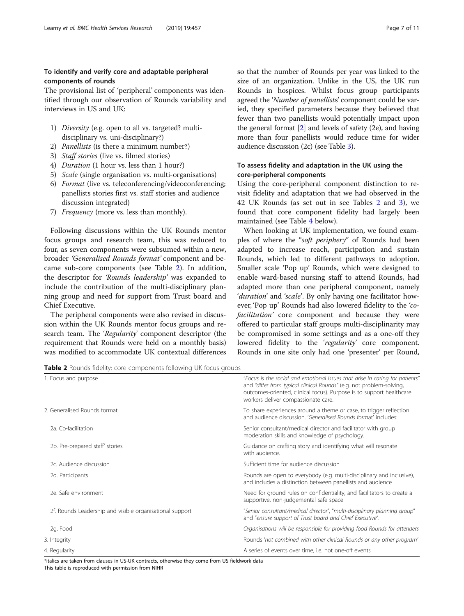### To identify and verify core and adaptable peripheral components of rounds

The provisional list of 'peripheral' components was identified through our observation of Rounds variability and interviews in US and UK:

- 1) Diversity (e.g. open to all vs. targeted? multidisciplinary vs. uni-disciplinary?)
- 2) *Panellists* (is there a minimum number?)
- 3) Staff stories (live vs. filmed stories)
- 4) Duration (1 hour vs. less than 1 hour?)
- 5) Scale (single organisation vs. multi-organisations)
- 6) Format (live vs. teleconferencing/videoconferencing; panellists stories first vs. staff stories and audience discussion integrated)
- 7) Frequency (more vs. less than monthly).

Following discussions within the UK Rounds mentor focus groups and research team, this was reduced to four, as seven components were subsumed within a new, broader 'Generalised Rounds format' component and became sub-core components (see Table 2). In addition, the descriptor for 'Rounds leadership' was expanded to include the contribution of the multi-disciplinary planning group and need for support from Trust board and Chief Executive.

The peripheral components were also revised in discussion within the UK Rounds mentor focus groups and research team. The 'Regularity' component descriptor (the requirement that Rounds were held on a monthly basis) was modified to accommodate UK contextual differences so that the number of Rounds per year was linked to the size of an organization. Unlike in the US, the UK run Rounds in hospices. Whilst focus group participants agreed the 'Number of panellists' component could be varied, they specified parameters because they believed that fewer than two panellists would potentially impact upon the general format [[2\]](#page-10-0) and levels of safety (2e), and having more than four panellists would reduce time for wider audience discussion (2c) (see Table [3\)](#page-7-0).

### To assess fidelity and adaptation in the UK using the core-peripheral components

Using the core-peripheral component distinction to revisit fidelity and adaptation that we had observed in the 42 UK Rounds (as set out in see Tables 2 and [3](#page-7-0)), we found that core component fidelity had largely been maintained (see Table [4](#page-8-0) below).

When looking at UK implementation, we found examples of where the "soft periphery" of Rounds had been adapted to increase reach, participation and sustain Rounds, which led to different pathways to adoption. Smaller scale 'Pop up' Rounds, which were designed to enable ward-based nursing staff to attend Rounds, had adapted more than one peripheral component, namely 'duration' and 'scale'. By only having one facilitator however, 'Pop up' Rounds had also lowered fidelity to the 'cofacilitation' core component and because they were offered to particular staff groups multi-disciplinarity may be compromised in some settings and as a one-off they lowered fidelity to the 'regularity' core component. Rounds in one site only had one 'presenter' per Round,

Table 2 Rounds fidelity: core components following UK focus groups

| 1. Focus and purpose                                     | "Focus is the social and emotional issues that arise in caring for patients"<br>and "differ from typical clinical Rounds" (e.g. not problem-solving,<br>outcomes-oriented, clinical focus). Purpose is to support healthcare<br>workers deliver compassionate care. |  |  |
|----------------------------------------------------------|---------------------------------------------------------------------------------------------------------------------------------------------------------------------------------------------------------------------------------------------------------------------|--|--|
| 2. Generalised Rounds format                             | To share experiences around a theme or case, to trigger reflection<br>and audience discussion. 'Generalised Rounds format' includes:                                                                                                                                |  |  |
| 2a. Co-facilitation                                      | Senior consultant/medical director and facilitator with group<br>moderation skills and knowledge of psychology.                                                                                                                                                     |  |  |
| 2b. Pre-prepared staff stories                           | Guidance on crafting story and identifying what will resonate<br>with audience.                                                                                                                                                                                     |  |  |
| 2c. Audience discussion                                  | Sufficient time for audience discussion                                                                                                                                                                                                                             |  |  |
| 2d. Participants                                         | Rounds are open to everybody (e.g. multi-disciplinary and inclusive),<br>and includes a distinction between panellists and audience                                                                                                                                 |  |  |
| 2e. Safe environment                                     | Need for ground rules on confidentiality, and facilitators to create a<br>supportive, non-judgemental safe space                                                                                                                                                    |  |  |
| 2f. Rounds Leadership and visible organisational support | "Senior consultant/medical director", "multi-disciplinary planning group"<br>and "ensure support of Trust board and Chief Executive".                                                                                                                               |  |  |
| 2g. Food                                                 | Organisations will be responsible for providing food Rounds for attenders                                                                                                                                                                                           |  |  |
| 3. Integrity                                             | Rounds 'not combined with other clinical Rounds or any other program'                                                                                                                                                                                               |  |  |
| 4. Regularity                                            | A series of events over time, i.e. not one-off events                                                                                                                                                                                                               |  |  |

\*italics are taken from clauses in US-UK contracts, otherwise they come from US fieldwork data This table is reproduced with permission from NIHR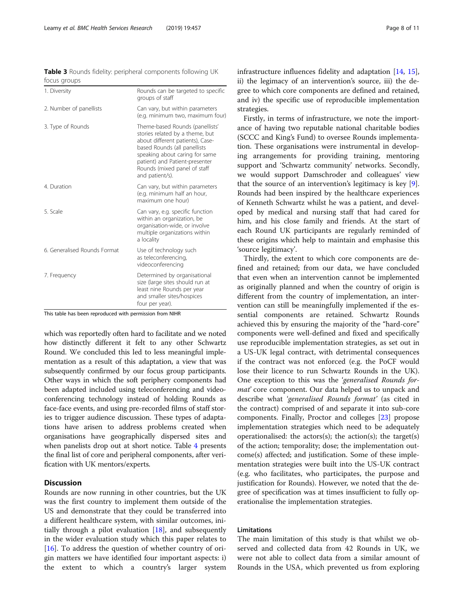<span id="page-7-0"></span>Table 3 Rounds fidelity: peripheral components following UK focus groups

| 1. Diversity                 | Rounds can be targeted to specific<br>groups of staff                                                                                                                                                                                                         |
|------------------------------|---------------------------------------------------------------------------------------------------------------------------------------------------------------------------------------------------------------------------------------------------------------|
| 2. Number of panellists      | Can vary, but within parameters<br>(e.g. minimum two, maximum four)                                                                                                                                                                                           |
| 3. Type of Rounds            | Theme-based Rounds (panellists'<br>stories related by a theme, but<br>about different patients), Case-<br>based Rounds (all panellists<br>speaking about caring for same<br>patient) and Patient-presenter<br>Rounds (mixed panel of staff<br>and patient/s). |
| 4. Duration                  | Can vary, but within parameters<br>(e.g. minimum half an hour,<br>maximum one hour)                                                                                                                                                                           |
| 5. Scale                     | Can vary, e.g. specific function<br>within an organization, be<br>organisation-wide, or involve<br>multiple organizations within<br>a locality                                                                                                                |
| 6. Generalised Rounds Format | Use of technology such<br>as teleconferencing,<br>videoconferencing                                                                                                                                                                                           |
| 7. Frequency                 | Determined by organisational<br>size (large sites should run at<br>least nine Rounds per year<br>and smaller sites/hospices<br>four per year).                                                                                                                |

This table has been reproduced with permission from NIHR

which was reportedly often hard to facilitate and we noted how distinctly different it felt to any other Schwartz Round. We concluded this led to less meaningful implementation as a result of this adaptation, a view that was subsequently confirmed by our focus group participants. Other ways in which the soft periphery components had been adapted included using teleconferencing and videoconferencing technology instead of holding Rounds as face-face events, and using pre-recorded films of staff stories to trigger audience discussion. These types of adaptations have arisen to address problems created when organisations have geographically dispersed sites and when panelists drop out at short notice. Table [4](#page-8-0) presents the final list of core and peripheral components, after verification with UK mentors/experts.

### **Discussion**

Rounds are now running in other countries, but the UK was the first country to implement them outside of the US and demonstrate that they could be transferred into a different healthcare system, with similar outcomes, initially through a pilot evaluation [[18\]](#page-10-0), and subsequently in the wider evaluation study which this paper relates to [[16\]](#page-10-0). To address the question of whether country of origin matters we have identified four important aspects: i) the extent to which a country's larger system infrastructure influences fidelity and adaptation [\[14,](#page-10-0) [15](#page-10-0)], ii) the legimacy of an intervention's source, iii) the degree to which core components are defined and retained, and iv) the specific use of reproducible implementation strategies.

Firstly, in terms of infrastructure, we note the importance of having two reputable national charitable bodies (SCCC and King's Fund) to oversee Rounds implementation. These organisations were instrumental in developing arrangements for providing training, mentoring support and 'Schwartz community' networks. Secondly, we would support Damschroder and colleagues' view that the source of an intervention's legitimacy is key [\[9](#page-10-0)]. Rounds had been inspired by the healthcare experiences of Kenneth Schwartz whilst he was a patient, and developed by medical and nursing staff that had cared for him, and his close family and friends. At the start of each Round UK participants are regularly reminded of these origins which help to maintain and emphasise this 'source legitimacy'.

Thirdly, the extent to which core components are defined and retained; from our data, we have concluded that even when an intervention cannot be implemented as originally planned and when the country of origin is different from the country of implementation, an intervention can still be meaningfully implemented if the essential components are retained. Schwartz Rounds achieved this by ensuring the majority of the "hard-core" components were well-defined and fixed and specifically use reproducible implementation strategies, as set out in a US-UK legal contract, with detrimental consequences if the contract was not enforced (e.g. the PoCF would lose their licence to run Schwartz Rounds in the UK). One exception to this was the 'generalised Rounds format' core component. Our data helped us to unpack and describe what 'generalised Rounds format' (as cited in the contract) comprised of and separate it into sub-core components. Finally, Proctor and colleges [[23\]](#page-10-0) propose implementation strategies which need to be adequately operationalised: the  $\arccos(s)$ ; the  $\arccos(s)$ ; the target(s) of the action; temporality; dose; the implementation outcome(s) affected; and justification. Some of these implementation strategies were built into the US-UK contract (e.g. who facilitates, who participates, the purpose and justification for Rounds). However, we noted that the degree of specification was at times insufficient to fully operationalise the implementation strategies.

### Limitations

The main limitation of this study is that whilst we observed and collected data from 42 Rounds in UK, we were not able to collect data from a similar amount of Rounds in the USA, which prevented us from exploring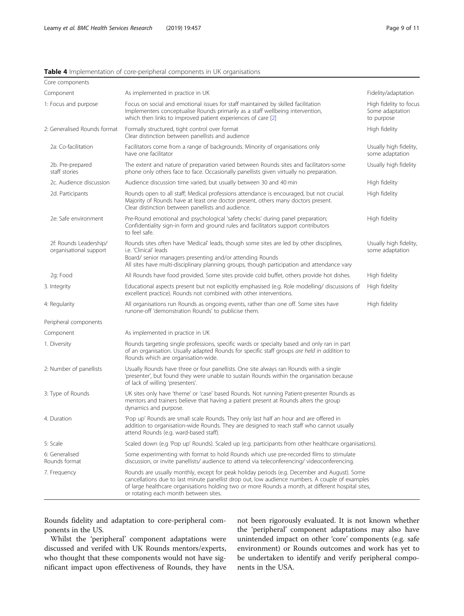### <span id="page-8-0"></span>Table 4 Implementation of core-peripheral components in UK organisations

| Core components                                  |                                                                                                                                                                                                                                                                                                                                                |                                                         |
|--------------------------------------------------|------------------------------------------------------------------------------------------------------------------------------------------------------------------------------------------------------------------------------------------------------------------------------------------------------------------------------------------------|---------------------------------------------------------|
| Component                                        | As implemented in practice in UK                                                                                                                                                                                                                                                                                                               | Fidelity/adaptation                                     |
| 1: Focus and purpose                             | Focus on social and emotional issues for staff maintained by skilled facilitation<br>Implementers conceptualise Rounds primarily as a staff wellbeing intervention,<br>which then links to improved patient experiences of care [2]                                                                                                            | High fidelity to focus<br>Some adaptation<br>to purpose |
| 2: Generalised Rounds format                     | Formally structured, tight control over format<br>Clear distinction between panellists and audience                                                                                                                                                                                                                                            | High fidelity                                           |
| 2a: Co-facilitation                              | Facilitators come from a range of backgrounds. Minority of organisations only<br>have one facilitator                                                                                                                                                                                                                                          | Usually high fidelity,<br>some adaptation               |
| 2b. Pre-prepared<br>staff stories                | The extent and nature of preparation varied between Rounds sites and facilitators-some<br>phone only others face to face. Occasionally panellists given virtually no preparation.                                                                                                                                                              | Usually high fidelity                                   |
| 2c. Audience discussion                          | Audience discussion time varied, but usually between 30 and 40 min                                                                                                                                                                                                                                                                             | High fidelity                                           |
| 2d. Participants                                 | Rounds open to all staff; Medical professions attendance is encouraged, but not crucial.<br>Majority of Rounds have at least one doctor present, others many doctors present.<br>Clear distinction between panellists and audience.                                                                                                            | High fidelity                                           |
| 2e: Safe environment                             | Pre-Round emotional and psychological 'safety checks' during panel preparation;<br>Confidentiality sign-in form and ground rules and facilitators support contributors<br>to feel safe.                                                                                                                                                        | High fidelity                                           |
| 2f: Rounds Leadership/<br>organisational support | Rounds sites often have 'Medical' leads, though some sites are led by other disciplines,<br>i.e. 'Clinical' leads<br>Board/ senior managers presenting and/or attending Rounds<br>All sites have multi-disciplinary planning groups, though participation and attendance vary                                                                  | Usually high fidelity,<br>some adaptation               |
| 2g: Food                                         | All Rounds have food provided. Some sites provide cold buffet, others provide hot dishes.                                                                                                                                                                                                                                                      | High fidelity                                           |
| 3. Integrity                                     | Educational aspects present but not explicitly emphasised (e.g. Role modelling/ discussions of<br>excellent practice). Rounds not combined with other interventions.                                                                                                                                                                           | High fidelity                                           |
| 4: Regularity                                    | All organisations run Rounds as ongoing events, rather than one off. Some sites have<br>runone-off 'demonstration Rounds' to publicise them.                                                                                                                                                                                                   | High fidelity                                           |
| Peripheral components                            |                                                                                                                                                                                                                                                                                                                                                |                                                         |
| Component                                        | As implemented in practice in UK                                                                                                                                                                                                                                                                                                               |                                                         |
| 1. Diversity                                     | Rounds targeting single professions, specific wards or specialty based and only ran in part<br>of an organisation. Usually adapted Rounds for specific staff groups are held in addition to<br>Rounds which are organisation-wide.                                                                                                             |                                                         |
| 2: Number of panellists                          | Usually Rounds have three or four panellists. One site always ran Rounds with a single<br>'presenter', but found they were unable to sustain Rounds within the organisation because<br>of lack of willing 'presenters'.                                                                                                                        |                                                         |
| 3: Type of Rounds                                | UK sites only have 'theme' or 'case' based Rounds. Not running Patient-presenter Rounds as<br>mentors and trainers believe that having a patient present at Rounds alters the group<br>dynamics and purpose.                                                                                                                                   |                                                         |
| 4. Duration                                      | 'Pop up' Rounds are small scale Rounds. They only last half an hour and are offered in<br>addition to organisation-wide Rounds. They are designed to reach staff who cannot usually<br>attend Rounds (e.g. ward-based staff).                                                                                                                  |                                                         |
| 5: Scale                                         | Scaled down (e.g 'Pop up' Rounds). Scaled up (e.g. participants from other healthcare organisations).                                                                                                                                                                                                                                          |                                                         |
| 6: Generalised<br>Rounds format                  | Some experimenting with format to hold Rounds which use pre-recorded films to stimulate<br>discussion, or invite panellists/ audience to attend via teleconferencing/ videoconferencing.                                                                                                                                                       |                                                         |
| 7. Frequency                                     | Rounds are usually monthly, except for peak holiday periods (e.g. December and August). Some<br>cancellations due to last minute panellist drop out, low audience numbers. A couple of examples<br>of large healthcare organisations holding two or more Rounds a month, at different hospital sites,<br>or rotating each month between sites. |                                                         |

Rounds fidelity and adaptation to core-peripheral components in the US.

Whilst the 'peripheral' component adaptations were discussed and verifed with UK Rounds mentors/experts, who thought that these components would not have significant impact upon effectiveness of Rounds, they have

not been rigorously evaluated. It is not known whether the 'peripheral' component adaptations may also have unintended impact on other 'core' components (e.g. safe environment) or Rounds outcomes and work has yet to be undertaken to identify and verify peripheral components in the USA.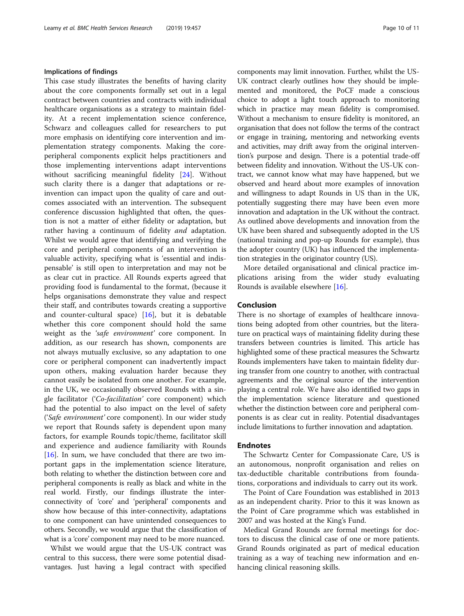#### Implications of findings

This case study illustrates the benefits of having clarity about the core components formally set out in a legal contract between countries and contracts with individual healthcare organisations as a strategy to maintain fidelity. At a recent implementation science conference, Schwarz and colleagues called for researchers to put more emphasis on identifying core intervention and implementation strategy components. Making the coreperipheral components explicit helps practitioners and those implementing interventions adapt interventions without sacrificing meaningful fidelity [[24\]](#page-10-0). Without such clarity there is a danger that adaptations or reinvention can impact upon the quality of care and outcomes associated with an intervention. The subsequent conference discussion highlighted that often, the question is not a matter of either fidelity or adaptation, but rather having a continuum of fidelity *and* adaptation. Whilst we would agree that identifying and verifying the core and peripheral components of an intervention is valuable activity, specifying what is 'essential and indispensable' is still open to interpretation and may not be as clear cut in practice. All Rounds experts agreed that providing food is fundamental to the format, (because it helps organisations demonstrate they value and respect their staff, and contributes towards creating a supportive and counter-cultural space) [[16](#page-10-0)], but it is debatable whether this core component should hold the same weight as the 'safe environment' core component. In addition, as our research has shown, components are not always mutually exclusive, so any adaptation to one core or peripheral component can inadvertently impact upon others, making evaluation harder because they cannot easily be isolated from one another. For example, in the UK, we occasionally observed Rounds with a single facilitator ('Co-facilitation' core component) which had the potential to also impact on the level of safety ('Safe environment' core component). In our wider study we report that Rounds safety is dependent upon many factors, for example Rounds topic/theme, facilitator skill and experience and audience familiarity with Rounds [ $16$ ]. In sum, we have concluded that there are two important gaps in the implementation science literature, both relating to whether the distinction between core and peripheral components is really as black and white in the real world. Firstly, our findings illustrate the interconnectivity of 'core' and 'peripheral' components and show how because of this inter-connectivity, adaptations to one component can have unintended consequences to others. Secondly, we would argue that the classification of what is a 'core' component may need to be more nuanced.

Whilst we would argue that the US-UK contract was central to this success, there were some potential disadvantages. Just having a legal contract with specified components may limit innovation. Further, whilst the US-UK contract clearly outlines how they should be implemented and monitored, the PoCF made a conscious choice to adopt a light touch approach to monitoring which in practice may mean fidelity is compromised. Without a mechanism to ensure fidelity is monitored, an organisation that does not follow the terms of the contract or engage in training, mentoring and networking events and activities, may drift away from the original intervention's purpose and design. There is a potential trade-off between fidelity and innovation. Without the US-UK contract, we cannot know what may have happened, but we observed and heard about more examples of innovation and willingness to adapt Rounds in US than in the UK, potentially suggesting there may have been even more innovation and adaptation in the UK without the contract. As outlined above developments and innovation from the UK have been shared and subsequently adopted in the US (national training and pop-up Rounds for example), thus the adopter country (UK) has influenced the implementation strategies in the originator country (US).

More detailed organisational and clinical practice implications arising from the wider study evaluating Rounds is available elsewhere [\[16](#page-10-0)].

### Conclusion

There is no shortage of examples of healthcare innovations being adopted from other countries, but the literature on practical ways of maintaining fidelity during these transfers between countries is limited. This article has highlighted some of these practical measures the Schwartz Rounds implementers have taken to maintain fidelity during transfer from one country to another, with contractual agreements and the original source of the intervention playing a central role. We have also identified two gaps in the implementation science literature and questioned whether the distinction between core and peripheral components is as clear cut in reality. Potential disadvantages include limitations to further innovation and adaptation.

### Endnotes

The Schwartz Center for Compassionate Care, US is an autonomous, nonprofit organisation and relies on tax-deductible charitable contributions from foundations, corporations and individuals to carry out its work.

The Point of Care Foundation was established in 2013 as an independent charity. Prior to this it was known as the Point of Care programme which was established in 2007 and was hosted at the King's Fund.

Medical Grand Rounds are formal meetings for doctors to discuss the clinical case of one or more patients. Grand Rounds originated as part of medical education training as a way of teaching new information and enhancing clinical reasoning skills.